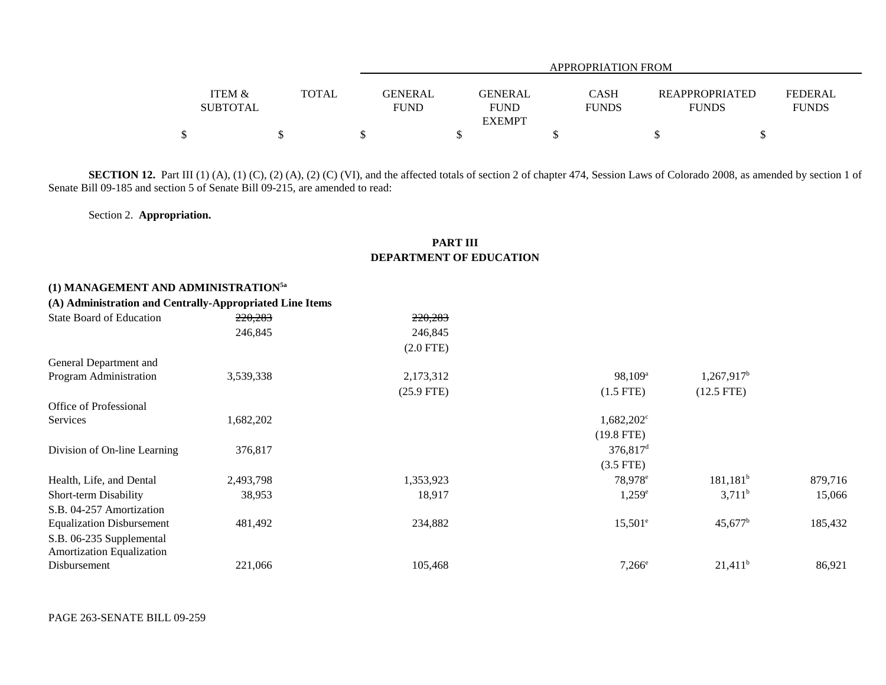|                                      |       |                               | APPROPRIATION FROM                             |                             |                                       |                                |  |  |  |  |  |
|--------------------------------------|-------|-------------------------------|------------------------------------------------|-----------------------------|---------------------------------------|--------------------------------|--|--|--|--|--|
| <b>ITEM &amp;</b><br><b>SUBTOTAL</b> | TOTAL | <b>GENERAL</b><br><b>FUND</b> | <b>GENERAL</b><br><b>FUND</b><br><b>EXEMPT</b> | <b>CASH</b><br><b>FUNDS</b> | <b>REAPPROPRIATED</b><br><b>FUNDS</b> | <b>FEDERAL</b><br><b>FUNDS</b> |  |  |  |  |  |
| \$                                   |       |                               |                                                |                             |                                       |                                |  |  |  |  |  |

SECTION 12. Part III (1) (A), (1) (C), (2) (A), (2) (C) (VI), and the affected totals of section 2 of chapter 474, Session Laws of Colorado 2008, as amended by section 1 of Senate Bill 09-185 and section 5 of Senate Bill 09-215, are amended to read:

Section 2. **Appropriation.**

## **PART III DEPARTMENT OF EDUCATION**

## **(1) MANAGEMENT AND ADMINISTRATION5a**

## **(A) Administration and Centrally-Appropriated Line Items**

| State Board of Education         | 220,283   | 220,283      |                      |                          |         |
|----------------------------------|-----------|--------------|----------------------|--------------------------|---------|
|                                  | 246,845   | 246,845      |                      |                          |         |
|                                  |           | $(2.0$ FTE)  |                      |                          |         |
| General Department and           |           |              |                      |                          |         |
| Program Administration           | 3,539,338 | 2,173,312    | $98,109^{\rm a}$     | $1,267,917$ <sup>b</sup> |         |
|                                  |           | $(25.9$ FTE) | $(1.5$ FTE)          | $(12.5$ FTE)             |         |
| Office of Professional           |           |              |                      |                          |         |
| Services                         | 1,682,202 |              | $1,682,202^{\circ}$  |                          |         |
|                                  |           |              | $(19.8$ FTE)         |                          |         |
| Division of On-line Learning     | 376,817   |              | 376,817 <sup>d</sup> |                          |         |
|                                  |           |              | $(3.5$ FTE)          |                          |         |
| Health, Life, and Dental         | 2,493,798 | 1,353,923    | 78,978 <sup>e</sup>  | 181,181 <sup>b</sup>     | 879,716 |
| Short-term Disability            | 38,953    | 18,917       | $1,259^e$            | $3,711^b$                | 15,066  |
| S.B. 04-257 Amortization         |           |              |                      |                          |         |
| <b>Equalization Disbursement</b> | 481,492   | 234,882      | $15,501^{\circ}$     | $45,677^{\rm b}$         | 185,432 |
| S.B. 06-235 Supplemental         |           |              |                      |                          |         |
| Amortization Equalization        |           |              |                      |                          |         |
| Disbursement                     | 221,066   | 105,468      | $7,266^{\circ}$      | $21,411^b$               | 86,921  |
|                                  |           |              |                      |                          |         |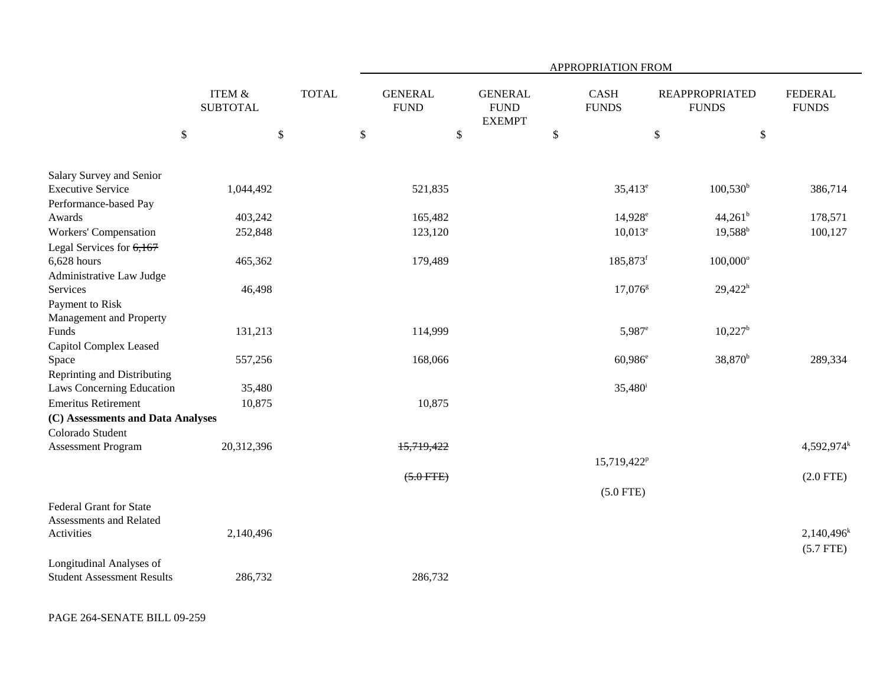|                                                           |                           |              |                               |                                                | APPROPRIATION FROM          |                                       |                                |
|-----------------------------------------------------------|---------------------------|--------------|-------------------------------|------------------------------------------------|-----------------------------|---------------------------------------|--------------------------------|
|                                                           | ITEM &<br><b>SUBTOTAL</b> | <b>TOTAL</b> | <b>GENERAL</b><br><b>FUND</b> | <b>GENERAL</b><br><b>FUND</b><br><b>EXEMPT</b> | <b>CASH</b><br><b>FUNDS</b> | <b>REAPPROPRIATED</b><br><b>FUNDS</b> | <b>FEDERAL</b><br><b>FUNDS</b> |
| $\mathbb{S}$                                              | $\mathbb{S}$              |              | \$<br>\$                      |                                                | $\$$                        | $\$$                                  | \$                             |
| Salary Survey and Senior                                  |                           |              |                               |                                                |                             |                                       |                                |
| <b>Executive Service</b>                                  | 1,044,492                 |              | 521,835                       |                                                | $35,413^e$                  | $100,530^{\rm b}$                     | 386,714                        |
| Performance-based Pay                                     |                           |              |                               |                                                |                             |                                       |                                |
| Awards                                                    | 403,242                   |              | 165,482                       |                                                | $14,928^e$                  | $44,261^b$                            | 178,571                        |
| <b>Workers' Compensation</b>                              | 252,848                   |              | 123,120                       |                                                | $10,013^e$                  | $19,588^{\rm b}$                      | 100,127                        |
| Legal Services for $6,167$                                |                           |              |                               |                                                |                             |                                       |                                |
| $6,628$ hours                                             | 465,362                   |              | 179,489                       |                                                | 185,873 <sup>f</sup>        | $100,000$ <sup>o</sup>                |                                |
| Administrative Law Judge                                  |                           |              |                               |                                                |                             |                                       |                                |
| Services                                                  | 46,498                    |              |                               |                                                | $17,076^{\rm g}$            | $29,422^h$                            |                                |
| Payment to Risk                                           |                           |              |                               |                                                |                             |                                       |                                |
| Management and Property                                   |                           |              |                               |                                                |                             |                                       |                                |
| Funds                                                     | 131,213                   |              | 114,999                       |                                                | $5,987^{\circ}$             | $10,227^{\rm b}$                      |                                |
| Capitol Complex Leased                                    |                           |              |                               |                                                |                             |                                       |                                |
| Space                                                     | 557,256                   |              | 168,066                       |                                                | $60,986^{\circ}$            | 38,870 <sup>b</sup>                   | 289,334                        |
| Reprinting and Distributing                               |                           |              |                               |                                                |                             |                                       |                                |
| Laws Concerning Education                                 | 35,480                    |              |                               |                                                | $35,480^{\rm i}$            |                                       |                                |
| <b>Emeritus Retirement</b>                                | 10,875                    |              | 10,875                        |                                                |                             |                                       |                                |
| (C) Assessments and Data Analyses                         |                           |              |                               |                                                |                             |                                       |                                |
| Colorado Student                                          |                           |              |                               |                                                |                             |                                       |                                |
| <b>Assessment Program</b>                                 | 20,312,396                |              | 15,719,422                    |                                                |                             |                                       | $4,592,974$ <sup>k</sup>       |
|                                                           |                           |              |                               |                                                | 15,719,422 <sup>p</sup>     |                                       |                                |
|                                                           |                           |              | $(5.0$ FTE)                   |                                                |                             |                                       | $(2.0$ FTE)                    |
|                                                           |                           |              |                               |                                                | $(5.0$ FTE)                 |                                       |                                |
| <b>Federal Grant for State</b><br>Assessments and Related |                           |              |                               |                                                |                             |                                       |                                |
| Activities                                                | 2,140,496                 |              |                               |                                                |                             |                                       | $2,140,496^k$                  |
|                                                           |                           |              |                               |                                                |                             |                                       | $(5.7$ FTE)                    |
| Longitudinal Analyses of                                  |                           |              |                               |                                                |                             |                                       |                                |
| <b>Student Assessment Results</b>                         | 286,732                   |              | 286,732                       |                                                |                             |                                       |                                |

PAGE 264-SENATE BILL 09-259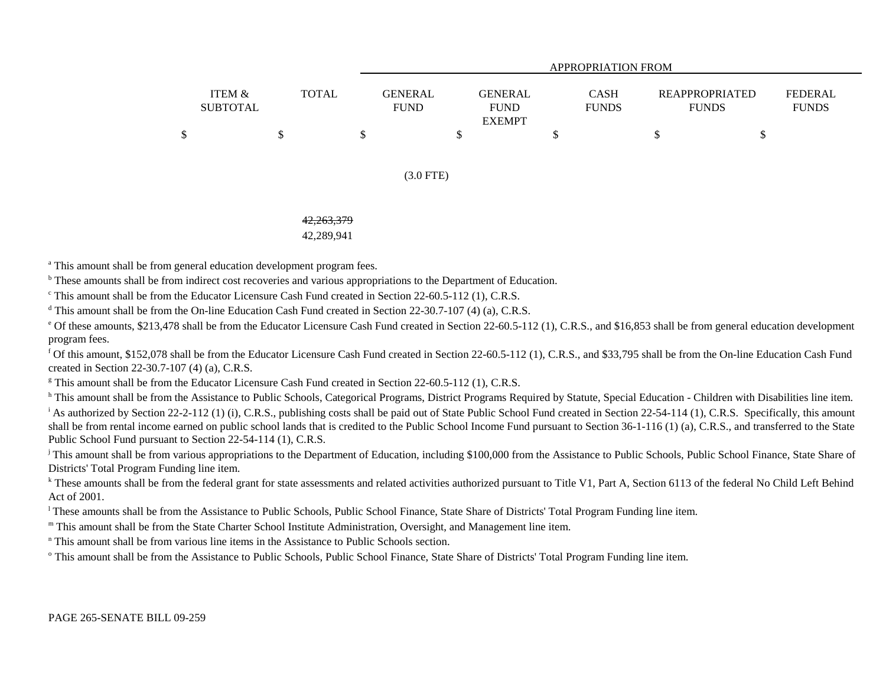|                           |              |                        | APPROPRIATION FROM                             |                             |                                       |                                |  |  |  |  |  |  |
|---------------------------|--------------|------------------------|------------------------------------------------|-----------------------------|---------------------------------------|--------------------------------|--|--|--|--|--|--|
| ITEM &<br><b>SUBTOTAL</b> | <b>TOTAL</b> | GENERAL<br><b>FUND</b> | <b>GENERAL</b><br><b>FUND</b><br><b>EXEMPT</b> | <b>CASH</b><br><b>FUNDS</b> | <b>REAPPROPRIATED</b><br><b>FUNDS</b> | <b>FEDERAL</b><br><b>FUNDS</b> |  |  |  |  |  |  |
|                           |              |                        |                                                |                             |                                       |                                |  |  |  |  |  |  |

#### (3.0 FTE)

### 42,263,379

#### 42,289,941

<sup>a</sup> This amount shall be from general education development program fees.

**b** These amounts shall be from indirect cost recoveries and various appropriations to the Department of Education.

<sup>c</sup> This amount shall be from the Educator Licensure Cash Fund created in Section 22-60.5-112 (1), C.R.S.

<sup>d</sup> This amount shall be from the On-line Education Cash Fund created in Section 22-30.7-107 (4) (a), C.R.S.

<sup>e</sup> Of these amounts, \$213,478 shall be from the Educator Licensure Cash Fund created in Section 22-60.5-112 (1), C.R.S., and \$16,853 shall be from general education development program fees.

f Of this amount, \$152,078 shall be from the Educator Licensure Cash Fund created in Section 22-60.5-112 (1), C.R.S., and \$33,795 shall be from the On-line Education Cash Fund created in Section 22-30.7-107 (4) (a), C.R.S.

<sup>g</sup> This amount shall be from the Educator Licensure Cash Fund created in Section 22-60.5-112 (1), C.R.S.

h This amount shall be from the Assistance to Public Schools, Categorical Programs, District Programs Required by Statute, Special Education - Children with Disabilities line item. <sup>i</sup> As authorized by Section 22-2-112 (1) (i), C.R.S., publishing costs shall be paid out of State Public School Fund created in Section 22-54-114 (1), C.R.S. Specifically, this amount shall be from rental income earned on public school lands that is credited to the Public School Income Fund pursuant to Section 36-1-116 (1) (a), C.R.S., and transferred to the State Public School Fund pursuant to Section 22-54-114 (1), C.R.S.

<sup>j</sup> This amount shall be from various appropriations to the Department of Education, including \$100,000 from the Assistance to Public Schools, Public School Finance, State Share of Districts' Total Program Funding line item.

<sup>k</sup> These amounts shall be from the federal grant for state assessments and related activities authorized pursuant to Title V1, Part A, Section 6113 of the federal No Child Left Behind Act of 2001.

<sup>1</sup> These amounts shall be from the Assistance to Public Schools, Public School Finance, State Share of Districts' Total Program Funding line item.

m This amount shall be from the State Charter School Institute Administration, Oversight, and Management line item.

n This amount shall be from various line items in the Assistance to Public Schools section.

<sup>o</sup> This amount shall be from the Assistance to Public Schools, Public School Finance, State Share of Districts' Total Program Funding line item.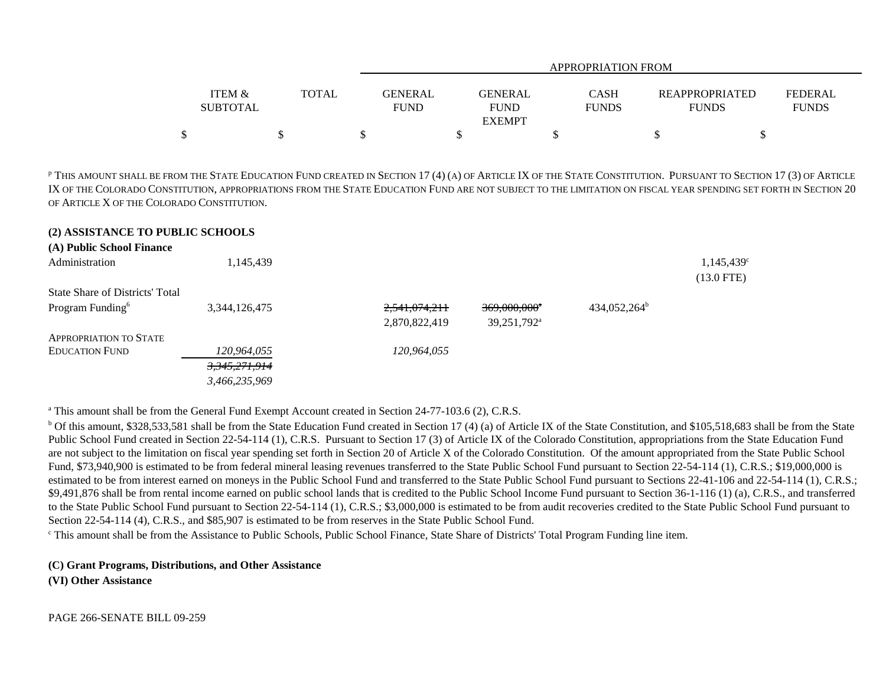|                   |              | APPROPRIATION FROM |               |              |                       |                |  |  |  |  |
|-------------------|--------------|--------------------|---------------|--------------|-----------------------|----------------|--|--|--|--|
|                   |              |                    |               |              |                       |                |  |  |  |  |
| <b>ITEM &amp;</b> | <b>TOTAL</b> | <b>GENERAL</b>     | GENERAL       | <b>CASH</b>  | <b>REAPPROPRIATED</b> | <b>FEDERAL</b> |  |  |  |  |
| <b>SUBTOTAL</b>   |              | <b>FUND</b>        | <b>FUND</b>   | <b>FUNDS</b> | <b>FUNDS</b>          | <b>FUNDS</b>   |  |  |  |  |
|                   |              |                    | <b>EXEMPT</b> |              |                       |                |  |  |  |  |
|                   |              |                    |               |              |                       |                |  |  |  |  |

p THIS AMOUNT SHALL BE FROM THE STATE EDUCATION FUND CREATED IN SECTION 17 (4) (A) OF ARTICLE IX OF THE STATE CONSTITUTION. PURSUANT TO SECTION 17 (3) OF ARTICLE IX OF THE COLORADO CONSTITUTION, APPROPRIATIONS FROM THE STATE EDUCATION FUND ARE NOT SUBJECT TO THE LIMITATION ON FISCAL YEAR SPENDING SET FORTH IN SECTION 20 OF ARTICLE X OF THE COLORADO CONSTITUTION.

### **(2) ASSISTANCE TO PUBLIC SCHOOLS**

| (A) Public School Finance              |               |               |                          |                          |                           |
|----------------------------------------|---------------|---------------|--------------------------|--------------------------|---------------------------|
| Administration                         | 1,145,439     |               |                          |                          | 1,145,439<br>$(13.0$ FTE) |
| <b>State Share of Districts' Total</b> |               |               |                          |                          |                           |
| Program Funding <sup>6</sup>           | 3,344,126,475 | 2,541,074,211 | 369,000,000 <sup>a</sup> | 434,052,264 <sup>b</sup> |                           |
|                                        |               | 2,870,822,419 | 39,251,792 <sup>a</sup>  |                          |                           |
| <b>APPROPRIATION TO STATE</b>          |               |               |                          |                          |                           |
| <b>EDUCATION FUND</b>                  | 120,964,055   | 120,964,055   |                          |                          |                           |
|                                        | 3,345,271,914 |               |                          |                          |                           |
|                                        | 3.466.235.969 |               |                          |                          |                           |

<sup>a</sup> This amount shall be from the General Fund Exempt Account created in Section 24-77-103.6 (2), C.R.S.

<sup>b</sup> Of this amount, \$328,533,581 shall be from the State Education Fund created in Section 17 (4) (a) of Article IX of the State Constitution, and \$105,518,683 shall be from the State Public School Fund created in Section 22-54-114 (1), C.R.S. Pursuant to Section 17 (3) of Article IX of the Colorado Constitution, appropriations from the State Education Fund are not subject to the limitation on fiscal year spending set forth in Section 20 of Article X of the Colorado Constitution. Of the amount appropriated from the State Public School Fund, \$73,940,900 is estimated to be from federal mineral leasing revenues transferred to the State Public School Fund pursuant to Section 22-54-114 (1), C.R.S.; \$19,000,000 is estimated to be from interest earned on moneys in the Public School Fund and transferred to the State Public School Fund pursuant to Sections 22-41-106 and 22-54-114 (1), C.R.S.; \$9,491,876 shall be from rental income earned on public school lands that is credited to the Public School Income Fund pursuant to Section 36-1-116 (1) (a), C.R.S., and transferred to the State Public School Fund pursuant to Section 22-54-114 (1), C.R.S.; \$3,000,000 is estimated to be from audit recoveries credited to the State Public School Fund pursuant to Section 22-54-114 (4), C.R.S., and \$85,907 is estimated to be from reserves in the State Public School Fund.

<sup>c</sup> This amount shall be from the Assistance to Public Schools, Public School Finance, State Share of Districts' Total Program Funding line item.

# **(C) Grant Programs, Distributions, and Other Assistance**

**(VI) Other Assistance**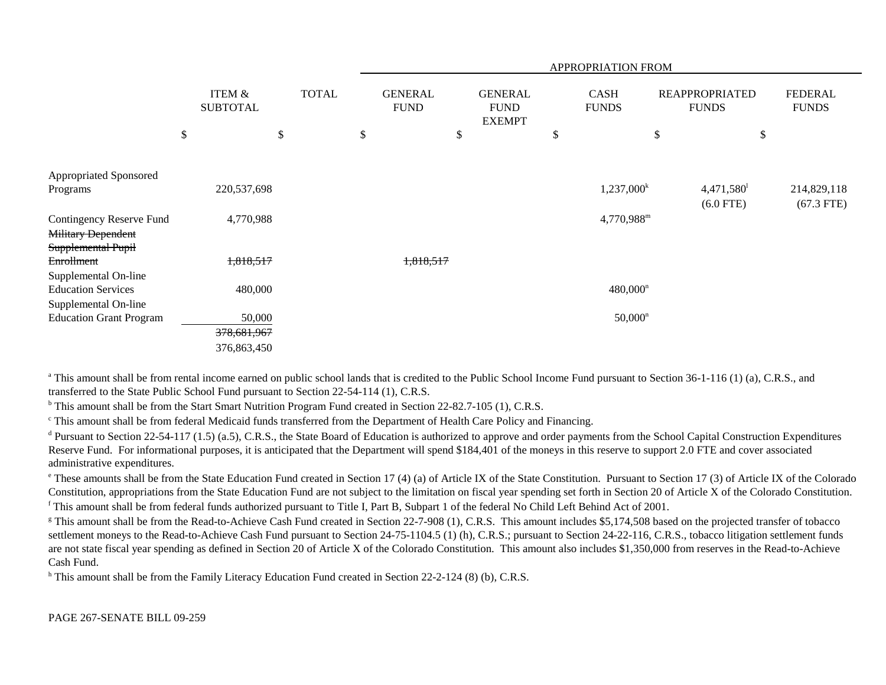|                                |        |                                      |              |                               |                                                | APPROPRIATION FROM          |                                       |                                |
|--------------------------------|--------|--------------------------------------|--------------|-------------------------------|------------------------------------------------|-----------------------------|---------------------------------------|--------------------------------|
|                                |        | <b>ITEM &amp;</b><br><b>SUBTOTAL</b> | <b>TOTAL</b> | <b>GENERAL</b><br><b>FUND</b> | <b>GENERAL</b><br><b>FUND</b><br><b>EXEMPT</b> | <b>CASH</b><br><b>FUNDS</b> | <b>REAPPROPRIATED</b><br><b>FUNDS</b> | <b>FEDERAL</b><br><b>FUNDS</b> |
|                                | $\$\,$ |                                      | \$           | \$                            | \$                                             | \$                          | \$<br>\$                              |                                |
|                                |        |                                      |              |                               |                                                |                             |                                       |                                |
| Appropriated Sponsored         |        |                                      |              |                               |                                                |                             |                                       |                                |
| Programs                       |        | 220,537,698                          |              |                               |                                                | $1,237,000^k$               | 4,471,580                             | 214,829,118                    |
|                                |        |                                      |              |                               |                                                |                             | $(6.0$ FTE)                           | $(67.3$ FTE)                   |
| Contingency Reserve Fund       |        | 4,770,988                            |              |                               |                                                | 4,770,988 <sup>m</sup>      |                                       |                                |
| <b>Military Dependent</b>      |        |                                      |              |                               |                                                |                             |                                       |                                |
| Supplemental Pupil             |        |                                      |              |                               |                                                |                             |                                       |                                |
| Enrollment                     |        | 1,818,517                            |              | 1,818,517                     |                                                |                             |                                       |                                |
| Supplemental On-line           |        |                                      |              |                               |                                                |                             |                                       |                                |
| <b>Education Services</b>      |        | 480,000                              |              |                               |                                                | $480,000^n$                 |                                       |                                |
| Supplemental On-line           |        |                                      |              |                               |                                                |                             |                                       |                                |
| <b>Education Grant Program</b> |        | 50,000                               |              |                               |                                                | $50,000^n$                  |                                       |                                |
|                                |        | 378,681,967                          |              |                               |                                                |                             |                                       |                                |
|                                |        | 376,863,450                          |              |                               |                                                |                             |                                       |                                |

<sup>a</sup> This amount shall be from rental income earned on public school lands that is credited to the Public School Income Fund pursuant to Section 36-1-116 (1) (a), C.R.S., and transferred to the State Public School Fund pursuant to Section 22-54-114 (1), C.R.S.

<sup>b</sup> This amount shall be from the Start Smart Nutrition Program Fund created in Section 22-82.7-105 (1), C.R.S.

<sup>c</sup> This amount shall be from federal Medicaid funds transferred from the Department of Health Care Policy and Financing.

 $d$  Pursuant to Section 22-54-117 (1.5) (a.5), C.R.S., the State Board of Education is authorized to approve and order payments from the School Capital Construction Expenditures Reserve Fund. For informational purposes, it is anticipated that the Department will spend \$184,401 of the moneys in this reserve to support 2.0 FTE and cover associated administrative expenditures.

<sup>e</sup> These amounts shall be from the State Education Fund created in Section 17 (4) (a) of Article IX of the State Constitution. Pursuant to Section 17 (3) of Article IX of the Colorado Constitution, appropriations from the State Education Fund are not subject to the limitation on fiscal year spending set forth in Section 20 of Article X of the Colorado Constitution. f This amount shall be from federal funds authorized pursuant to Title I, Part B, Subpart 1 of the federal No Child Left Behind Act of 2001.

<sup>g</sup> This amount shall be from the Read-to-Achieve Cash Fund created in Section 22-7-908 (1), C.R.S. This amount includes \$5,174,508 based on the projected transfer of tobacco settlement moneys to the Read-to-Achieve Cash Fund pursuant to Section 24-75-1104.5 (1) (h), C.R.S.; pursuant to Section 24-22-116, C.R.S., tobacco litigation settlement funds are not state fiscal year spending as defined in Section 20 of Article X of the Colorado Constitution. This amount also includes \$1,350,000 from reserves in the Read-to-Achieve Cash Fund.

<sup>h</sup> This amount shall be from the Family Literacy Education Fund created in Section 22-2-124 (8) (b), C.R.S.

PAGE 267-SENATE BILL 09-259